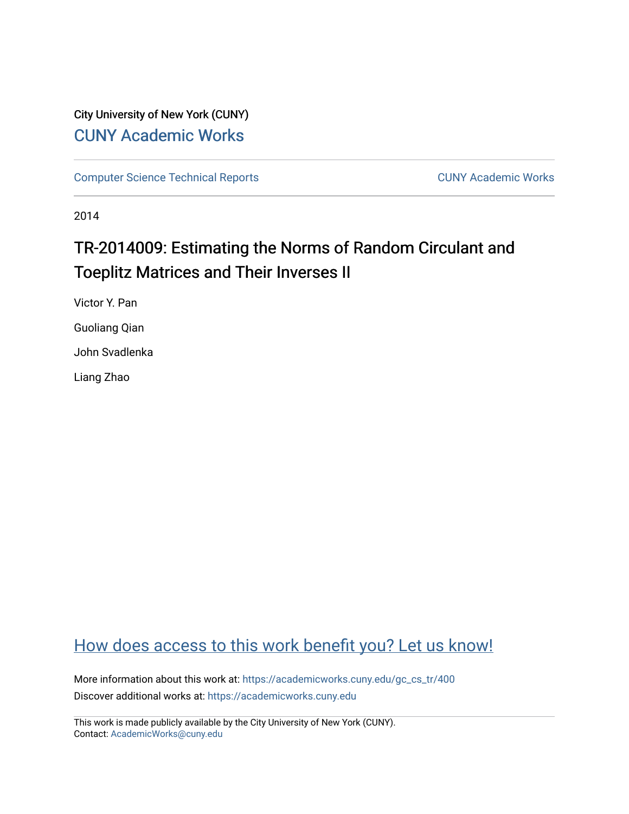# City University of New York (CUNY) [CUNY Academic Works](https://academicworks.cuny.edu/)

[Computer Science Technical Reports](https://academicworks.cuny.edu/gc_cs_tr) **CUNY Academic Works** CUNY Academic Works

2014

# TR-2014009: Estimating the Norms of Random Circulant and Toeplitz Matrices and Their Inverses II

Victor Y. Pan Guoliang Qian

John Svadlenka

Liang Zhao

# [How does access to this work benefit you? Let us know!](http://ols.cuny.edu/academicworks/?ref=https://academicworks.cuny.edu/gc_cs_tr/400)

More information about this work at: [https://academicworks.cuny.edu/gc\\_cs\\_tr/400](https://academicworks.cuny.edu/gc_cs_tr/400)  Discover additional works at: [https://academicworks.cuny.edu](https://academicworks.cuny.edu/?)

This work is made publicly available by the City University of New York (CUNY). Contact: [AcademicWorks@cuny.edu](mailto:AcademicWorks@cuny.edu)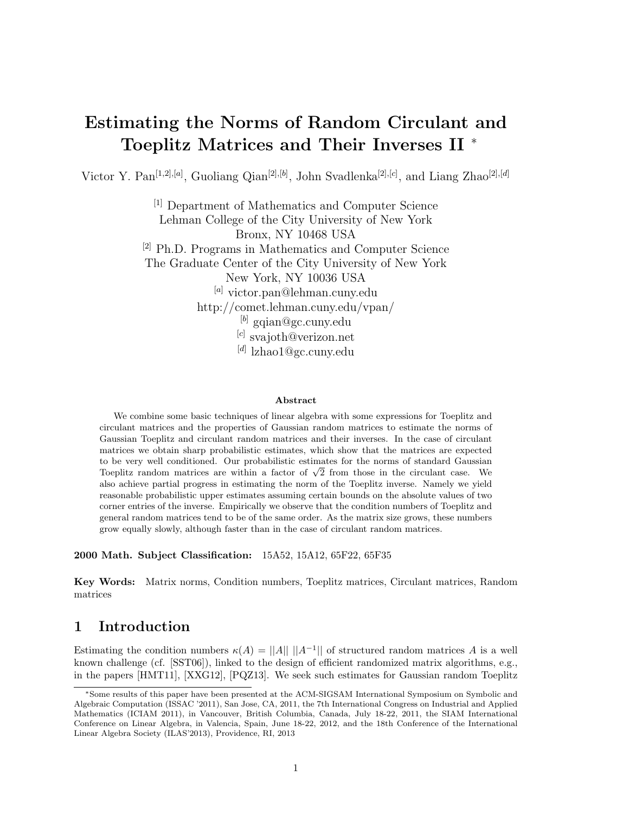# Estimating the Norms of Random Circulant and Toeplitz Matrices and Their Inverses II <sup>∗</sup>

Victor Y. Pan<sup>[1,2],[a]</sup>, Guoliang Qian<sup>[2],[b]</sup>, John Svadlenka<sup>[2],[c]</sup>, and Liang Zhao<sup>[2],[d]</sup>

[1] Department of Mathematics and Computer Science Lehman College of the City University of New York Bronx, NY 10468 USA [2] Ph.D. Programs in Mathematics and Computer Science The Graduate Center of the City University of New York New York, NY 10036 USA [a] victor.pan@lehman.cuny.edu http://comet.lehman.cuny.edu/vpan/  $^{[b]}$  gqian@gc.cuny.edu [c] svajoth@verizon.net [d] lzhao1@gc.cuny.edu

#### Abstract

We combine some basic techniques of linear algebra with some expressions for Toeplitz and circulant matrices and the properties of Gaussian random matrices to estimate the norms of Gaussian Toeplitz and circulant random matrices and their inverses. In the case of circulant matrices we obtain sharp probabilistic estimates, which show that the matrices are expected to be very well conditioned. Our probabilistic estimates for the norms of standard Gaussian to be very well conditioned. Our probabilistic estimates for the norms of standard Gaussian Toeplitz random matrices are within a factor of  $\sqrt{2}$  from those in the circulant case. We also achieve partial progress in estimating the norm of the Toeplitz inverse. Namely we yield reasonable probabilistic upper estimates assuming certain bounds on the absolute values of two corner entries of the inverse. Empirically we observe that the condition numbers of Toeplitz and general random matrices tend to be of the same order. As the matrix size grows, these numbers grow equally slowly, although faster than in the case of circulant random matrices.

2000 Math. Subject Classification: 15A52, 15A12, 65F22, 65F35

Key Words: Matrix norms, Condition numbers, Toeplitz matrices, Circulant matrices, Random matrices

# 1 Introduction

Estimating the condition numbers  $\kappa(A) = ||A|| ||A^{-1}||$  of structured random matrices A is a well known challenge (cf. [SST06]), linked to the design of efficient randomized matrix algorithms, e.g., in the papers [HMT11], [XXG12], [PQZ13]. We seek such estimates for Gaussian random Toeplitz

<sup>∗</sup>Some results of this paper have been presented at the ACM-SIGSAM International Symposium on Symbolic and Algebraic Computation (ISSAC '2011), San Jose, CA, 2011, the 7th International Congress on Industrial and Applied Mathematics (ICIAM 2011), in Vancouver, British Columbia, Canada, July 18-22, 2011, the SIAM International Conference on Linear Algebra, in Valencia, Spain, June 18-22, 2012, and the 18th Conference of the International Linear Algebra Society (ILAS'2013), Providence, RI, 2013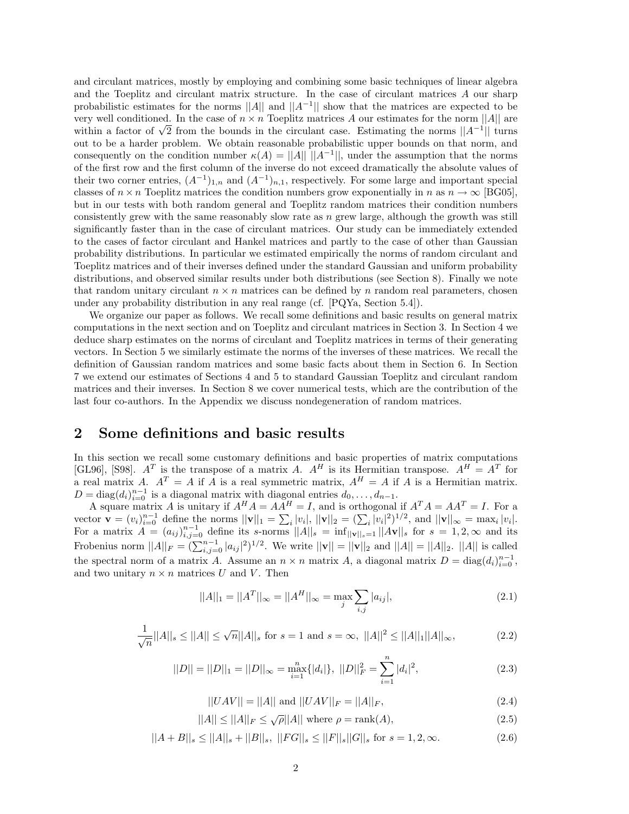and circulant matrices, mostly by employing and combining some basic techniques of linear algebra and the Toeplitz and circulant matrix structure. In the case of circulant matrices A our sharp probabilistic estimates for the norms ||A|| and  $||A^{-1}||$  show that the matrices are expected to be very well conditioned. In the case of  $n \times n$  Toeplitz matrices A our estimates for the norm  $||A||$  are very well conditioned. In the case of  $n \times n$  Toeplitz matrices A our estimates for the norm  $||A||$  are within a factor of  $\sqrt{2}$  from the bounds in the circulant case. Estimating the norms  $||A^{-1}||$  turns out to be a harder problem. We obtain reasonable probabilistic upper bounds on that norm, and consequently on the condition number  $\kappa(A) = ||A|| \, ||A^{-1}||$ , under the assumption that the norms of the first row and the first column of the inverse do not exceed dramatically the absolute values of their two corner entries,  $(A^{-1})_{1,n}$  and  $(A^{-1})_{n,1}$ , respectively. For some large and important special classes of  $n \times n$  Toeplitz matrices the condition numbers grow exponentially in n as  $n \to \infty$  [BG05], but in our tests with both random general and Toeplitz random matrices their condition numbers consistently grew with the same reasonably slow rate as  $n$  grew large, although the growth was still significantly faster than in the case of circulant matrices. Our study can be immediately extended to the cases of factor circulant and Hankel matrices and partly to the case of other than Gaussian probability distributions. In particular we estimated empirically the norms of random circulant and Toeplitz matrices and of their inverses defined under the standard Gaussian and uniform probability distributions, and observed similar results under both distributions (see Section 8). Finally we note that random unitary circulant  $n \times n$  matrices can be defined by n random real parameters, chosen under any probability distribution in any real range (cf. [PQYa, Section 5.4]).

We organize our paper as follows. We recall some definitions and basic results on general matrix computations in the next section and on Toeplitz and circulant matrices in Section 3. In Section 4 we deduce sharp estimates on the norms of circulant and Toeplitz matrices in terms of their generating vectors. In Section 5 we similarly estimate the norms of the inverses of these matrices. We recall the definition of Gaussian random matrices and some basic facts about them in Section 6. In Section 7 we extend our estimates of Sections 4 and 5 to standard Gaussian Toeplitz and circulant random matrices and their inverses. In Section 8 we cover numerical tests, which are the contribution of the last four co-authors. In the Appendix we discuss nondegeneration of random matrices.

## 2 Some definitions and basic results

In this section we recall some customary definitions and basic properties of matrix computations [GL96], [S98].  $A^T$  is the transpose of a matrix A.  $A^H$  is its Hermitian transpose.  $A^H = A^T$  for a real matrix A.  $A^T = A$  if A is a real symmetric matrix,  $A^H = A$  if A is a Hermitian matrix.  $D = \text{diag}(d_i)_{i=0}^{n-1}$  is a diagonal matrix with diagonal entries  $d_0, \ldots, d_{n-1}$ .

A square matrix A is unitary if  $A^H A = AA^H = I$ , and is orthogonal if  $A^T A = AA^T = I$ . For a vector  $\mathbf{v} = (v_i)_{i=0}^{n-1}$  define the norms  $||\mathbf{v}||_1 = \sum_i |v_i|, ||\mathbf{v}||_2 = (\sum_i |v_i|^2)^{1/2}$ , and  $||\mathbf{v}||_{\infty} = \max_i |v_i|$ . For a matrix  $A = (a_{ij})_{i,j=0}^{n-1}$  define its s-norms  $||A||_s = \inf_{||\mathbf{v}||_s=1} ||A\mathbf{v}||_s$  for  $s = 1, 2, \infty$  and its Frobenius norm  $||A||_F = (\sum_{i,j=0}^{n-1} |a_{ij}|^2)^{1/2}$ . We write  $||\mathbf{v}|| = ||\mathbf{v}||_2$  and  $||A|| = ||A||_2$ .  $||A||$  is called the spectral norm of a matrix A. Assume an  $n \times n$  matrix A, a diagonal matrix  $D = \text{diag}(d_i)_{i=0}^{n-1}$ , and two unitary  $n \times n$  matrices U and V. Then

$$
||A||_1 = ||A^T||_{\infty} = ||A^H||_{\infty} = \max_{j} \sum_{i,j} |a_{ij}|,
$$
\n(2.1)

$$
\frac{1}{\sqrt{n}}||A||_s \le ||A|| \le \sqrt{n}||A||_s \text{ for } s = 1 \text{ and } s = \infty, ||A||^2 \le ||A||_1||A||_\infty,
$$
 (2.2)

$$
||D|| = ||D||_1 = ||D||_{\infty} = \max_{i=1}^n \{|d_i|\}, \ ||D||_F^2 = \sum_{i=1}^n |d_i|^2,\tag{2.3}
$$

$$
||UAV|| = ||A|| \text{ and } ||UAV||_F = ||A||_F,
$$
\n(2.4)

$$
||A|| \le ||A||_F \le \sqrt{\rho}||A|| \text{ where } \rho = \text{rank}(A),\tag{2.5}
$$

$$
||A + B||_s \le ||A||_s + ||B||_s, \ ||FG||_s \le ||F||_s ||G||_s \text{ for } s = 1, 2, \infty.
$$
 (2.6)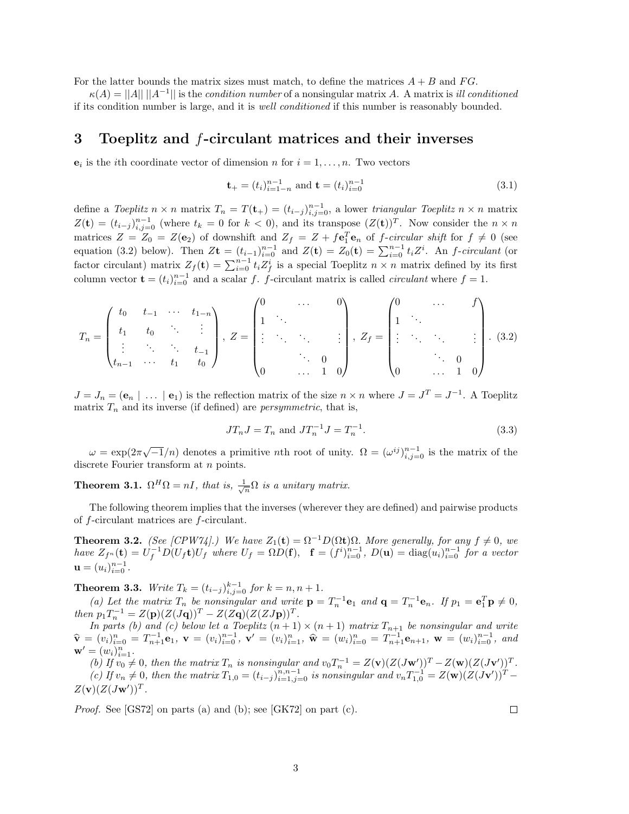For the latter bounds the matrix sizes must match, to define the matrices  $A + B$  and  $FG$ .

 $\kappa(A) = ||A|| \, ||A^{-1}||$  is the *condition number* of a nonsingular matrix A. A matrix is *ill conditioned* if its condition number is large, and it is well conditioned if this number is reasonably bounded.

## 3 Toeplitz and f-circulant matrices and their inverses

 $e_i$  is the *i*th coordinate vector of dimension *n* for  $i = 1, ..., n$ . Two vectors

$$
\mathbf{t}_{+} = (t_{i})_{i=1-n}^{n-1} \text{ and } \mathbf{t} = (t_{i})_{i=0}^{n-1}
$$
\n(3.1)

define a Toeplitz  $n \times n$  matrix  $T_n = T(\mathbf{t}_+) = (t_{i-j})_{i,j=0}^{n-1}$ , a lower triangular Toeplitz  $n \times n$  matrix  $Z(\mathbf{t}) = (t_{i-j})_{i,j=0}^{n-1}$  (where  $t_k = 0$  for  $k < 0$ ), and its transpose  $(Z(\mathbf{t}))^T$ . Now consider the  $n \times n$ matrices  $Z = Z_0 = Z(e_2)$  of downshift and  $Z_f = Z + f\mathbf{e}_1^T\mathbf{e}_n$  of f-circular shift for  $f \neq 0$  (see equation (3.2) below). Then  $Z$ **t** =  $(t_{i-1})_{i=0}^{n-1}$  and  $Z(t) = Z_0(t) = \sum_{i=0}^{n-1} t_i Z^i$ . An *f-circulant* (or factor circulant) matrix  $Z_f(\mathbf{t}) = \sum_{i=0}^{n-1} t_i Z_f^i$  is a special Toeplitz  $n \times n$  matrix defined by its first column vector  $\mathbf{t} = (t_i)_{i=0}^{n-1}$  and a scalar f. f-circulant matrix is called *circulant* where  $f = 1$ .

$$
T_n = \begin{pmatrix} t_0 & t_{-1} & \cdots & t_{1-n} \\ t_1 & t_0 & \ddots & \vdots \\ \vdots & \ddots & \ddots & t_{-1} \\ t_{n-1} & \cdots & t_1 & t_0 \end{pmatrix}, Z = \begin{pmatrix} 0 & \cdots & 0 \\ 1 & \ddots & & \\ \vdots & \ddots & \ddots & \vdots \\ 0 & \cdots & 1 & 0 \end{pmatrix}, Z_f = \begin{pmatrix} 0 & \cdots & f \\ 1 & \ddots & & \\ \vdots & \ddots & \ddots & \vdots \\ 0 & \cdots & 1 & 0 \end{pmatrix}.
$$
 (3.2)

 $J = J_n = (e_n \mid \dots \mid e_1)$  is the reflection matrix of the size  $n \times n$  where  $J = J^T = J^{-1}$ . A Toeplitz matrix  $T_n$  and its inverse (if defined) are *persymmetric*, that is,

$$
JT_n J = T_n \text{ and } JT_n^{-1} J = T_n^{-1}.
$$
\n(3.3)

 $\omega = \exp(2\pi\sqrt{-1}/n)$  denotes a primitive *n*th root of unity.  $\Omega = (\omega^{ij})_{i,j=0}^{n-1}$  is the matrix of the discrete Fourier transform at *n* points.

**Theorem 3.1.**  $\Omega^H \Omega = nI$ , that is,  $\frac{1}{\sqrt{n}} \Omega$  is a unitary matrix.

The following theorem implies that the inverses (wherever they are defined) and pairwise products of f-circulant matrices are f-circulant.

**Theorem 3.2.** (See [CPW74].) We have  $Z_1(t) = \Omega^{-1}D(\Omega t)\Omega$ . More generally, for any  $f \neq 0$ , we have  $Z_{f^n}(\mathbf{t}) = U_f^{-1} D(U_f \mathbf{t}) U_f$  where  $U_f = \Omega D(\mathbf{f}), \quad \mathbf{f} = (f^i)_{i=0}^{n-1}$ ,  $D(\mathbf{u}) = \text{diag}(u_i)_{i=0}^{n-1}$  for a vector  $\mathbf{u} = (u_i)_{i=0}^{n-1}$ .

**Theorem 3.3.** Write  $T_k = (t_{i-j})_{i,j=0}^{k-1}$  for  $k = n, n + 1$ .

(a) Let the matrix  $T_n$  be nonsingular and write  $\mathbf{p} = T_n^{-1} \mathbf{e}_1$  and  $\mathbf{q} = T_n^{-1} \mathbf{e}_n$ . If  $p_1 = \mathbf{e}_1^T \mathbf{p} \neq 0$ , then  $p_1 T_n^{-1} = Z(\mathbf{p})(Z(J\mathbf{q}))^T - Z(Z\mathbf{q})(Z(ZJ\mathbf{p}))^T$ .

In parts (b) and (c) below let a Toeplitz  $(n + 1) \times (n + 1)$  matrix  $T_{n+1}$  be nonsingular and write  $\widehat{\mathbf{v}} = (v_i)_{i=0}^n = T_{n+1}^{-1} \mathbf{e}_1, \ \mathbf{v} = (v_i)_{i=0}^{n-1}, \ \mathbf{v}' = (v_i)_{i=1}^n, \ \widehat{\mathbf{w}} = (w_i)_{i=0}^n = T_{n+1}^{-1} \mathbf{e}_{n+1}, \ \mathbf{w} = (w_i)_{i=0}^{n-1}, \ \text{and}$  $\mathbf{w}' = (w_i)_{i=1}^n$ .

(b) If  $v_0 \neq 0$ , then the matrix  $T_n$  is nonsingular and  $v_0 T_n^{-1} = Z(\mathbf{v}) (Z(J\mathbf{w}'))^T - Z(\mathbf{w}) (Z(J\mathbf{v}'))^T$ . (c) If  $v_n \neq 0$ , then the matrix  $T_{1,0} = (t_{i-j})_{i=1,j=0}^{n,n-1}$  is nonsingular and  $v_n T_{1,0}^{-1} = Z(\mathbf{w})(Z(J\mathbf{v}'))^T Z(\mathbf{v})(Z(J\mathbf{w}'))^T$ .

Proof. See [GS72] on parts (a) and (b); see [GK72] on part (c).

 $\Box$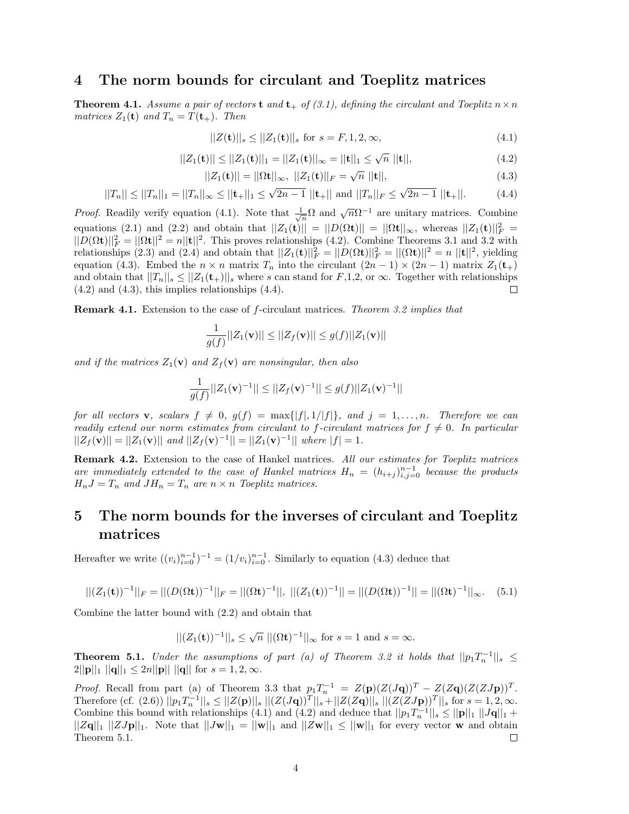### 4 The norm bounds for circulant and Toeplitz matrices

**Theorem 4.1.** Assume a pair of vectors **t** and **t**<sub>+</sub> of (3.1), defining the circulant and Toeplitz  $n \times n$ matrices  $Z_1(\mathbf{t})$  and  $T_n = T(\mathbf{t}_+)$ . Then

$$
||Z(\mathbf{t})||_s \le ||Z_1(\mathbf{t})||_s \text{ for } s = F, 1, 2, \infty,
$$
\n(4.1)

$$
||Z_1(\mathbf{t})|| \le ||Z_1(\mathbf{t})||_1 = ||Z_1(\mathbf{t})||_{\infty} = ||\mathbf{t}||_1 \le \sqrt{n} ||\mathbf{t}||, \tag{4.2}
$$

$$
||Z_1(\mathbf{t})|| = ||\Omega \mathbf{t}||_{\infty}, ||Z_1(\mathbf{t})||_F = \sqrt{n} ||\mathbf{t}||, \tag{4.3}
$$

$$
||T_n|| \le ||T_n||_1 = ||T_n||_{\infty} \le ||\mathbf{t}_+||_1 \le \sqrt{2n-1} ||\mathbf{t}_+|| \text{ and } ||T_n||_F \le \sqrt{2n-1} ||\mathbf{t}_+||. \tag{4.4}
$$

*Proof.* Readily verify equation (4.1). Note that  $\frac{1}{\sqrt{n}}\Omega$  and  $\sqrt{n}\Omega^{-1}$  are unitary matrices. Combine equations (2.1) and (2.2) and obtain that  $||Z_1(\mathbf{t})|| = ||D(\Omega \mathbf{t})|| = ||\Omega \mathbf{t}||_{\infty}$ , whereas  $||Z_1(\mathbf{t})||_F^2$  $||D(\Omega t)||_F^2 = ||\Omega t||^2 = n||t||^2$ . This proves relationships (4.2). Combine Theorems 3.1 and 3.2 with relationships (2.3) and (2.4) and obtain that  $||Z_1(\mathbf{t})||_F^2 = ||D(\Omega \mathbf{t})||_F^2 = ||(\Omega \mathbf{t})||^2 = n ||\mathbf{t}||^2$ , yielding equation (4.3). Embed the  $n \times n$  matrix  $T_n$  into the circulant  $(2n-1) \times (2n-1)$  matrix  $Z_1(\mathbf{t}_+)$ and obtain that  $||T_n||_s \leq ||Z_1(t_+)||_s$  where s can stand for  $F,1,2$ , or  $\infty$ . Together with relationships  $(4.2)$  and  $(4.3)$ , this implies relationships  $(4.4)$ . □

Remark 4.1. Extension to the case of f-circulant matrices. Theorem 3.2 implies that

$$
\frac{1}{g(f)}||Z_1(\mathbf{v})|| \le ||Z_f(\mathbf{v})|| \le g(f)||Z_1(\mathbf{v})||
$$

and if the matrices  $Z_1(\mathbf{v})$  and  $Z_f(\mathbf{v})$  are nonsingular, then also

$$
\frac{1}{g(f)}||Z_1(\mathbf{v})^{-1}|| \leq ||Z_f(\mathbf{v})^{-1}|| \leq g(f)||Z_1(\mathbf{v})^{-1}||
$$

for all vectors **v**, scalars  $f \neq 0$ ,  $g(f) = \max\{|f|, 1/|f|\}$ , and  $j = 1, \ldots, n$ . Therefore we can readily extend our norm estimates from circulant to f-circulant matrices for  $f \neq 0$ . In particular  $||Z_f(\mathbf{v})|| = ||Z_1(\mathbf{v})||$  and  $||Z_f(\mathbf{v})^{-1}|| = ||Z_1(\mathbf{v})^{-1}||$  where  $|f| = 1$ .

Remark 4.2. Extension to the case of Hankel matrices. All our estimates for Toeplitz matrices are immediately extended to the case of Hankel matrices  $H_n = (h_{i+j})_{i,j=0}^{n-1}$  because the products  $H_nJ = T_n$  and  $JH_n = T_n$  are  $n \times n$  Toeplitz matrices.

# 5 The norm bounds for the inverses of circulant and Toeplitz matrices

Hereafter we write  $((v_i)_{i=0}^{n-1})^{-1} = (1/v_i)_{i=0}^{n-1}$ . Similarly to equation (4.3) deduce that

$$
||(Z_1(\mathbf{t}))^{-1}||_F = ||(D(\Omega \mathbf{t}))^{-1}||_F = ||(\Omega \mathbf{t})^{-1}||, ||(Z_1(\mathbf{t}))^{-1}|| = ||(D(\Omega \mathbf{t}))^{-1}|| = ||(\Omega \mathbf{t})^{-1}||_{\infty}.
$$
 (5.1)

Combine the latter bound with (2.2) and obtain that

$$
||(Z_1(\mathbf{t}))^{-1}||_s \le \sqrt{n} ||(\Omega \mathbf{t})^{-1}||_{\infty}
$$
 for  $s = 1$  and  $s = \infty$ .

**Theorem 5.1.** Under the assumptions of part (a) of Theorem 3.2 it holds that  $||p_1T_n^{-1}||_s \le$  $2||\mathbf{p}||_1 ||\mathbf{q}||_1 \leq 2n||\mathbf{p}||_1 ||\mathbf{q}||$  for  $s = 1, 2, \infty$ .

*Proof.* Recall from part (a) of Theorem 3.3 that  $p_1T_n^{-1} = Z(p)(Z(Jq))^T - Z(Zq)(Z(ZJp))^T$ . Therefore (cf. (2.6))  $||p_1T_n^{-1}||_s \le ||Z(\mathbf{p})||_s ||(Z(J\mathbf{q}))^T||_s + ||Z(Z\mathbf{q})||_s ||(Z(ZJ\mathbf{p}))^T||_s$  for  $s = 1, 2, \infty$ . Combine this bound with relationships (4.1) and (4.2) and deduce that  $||p_1T_n^{-1}||_s \le ||\mathbf{p}||_1 ||J\mathbf{q}||_1 +$  $||Z\mathbf{q}||_1 ||ZJ\mathbf{p}||_1$ . Note that  $||J\mathbf{w}||_1 = ||\mathbf{w}||_1$  and  $||Z\mathbf{w}||_1 \le ||\mathbf{w}||_1$  for every vector w and obtain Theorem 5.1. □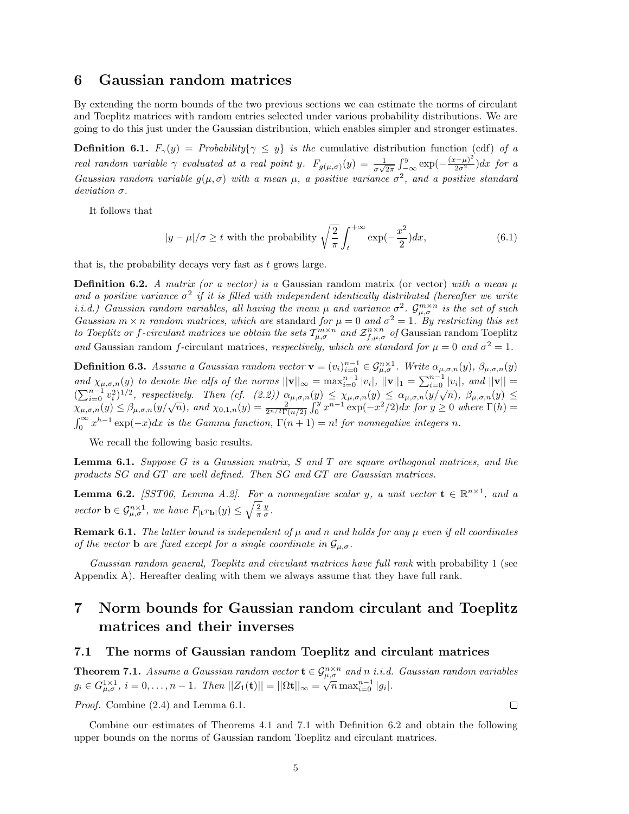### 6 Gaussian random matrices

By extending the norm bounds of the two previous sections we can estimate the norms of circulant and Toeplitz matrices with random entries selected under various probability distributions. We are going to do this just under the Gaussian distribution, which enables simpler and stronger estimates.

**Definition 6.1.**  $F_{\gamma}(y) =$  Probability $\{\gamma \leq y\}$  is the cumulative distribution function (cdf) of a real random variable  $\gamma$  evaluated at a real point y.  $F_{g(\mu,\sigma)}(y) = \frac{1}{\sigma\sqrt{2\pi}} \int_{-\infty}^{y} \exp(-\frac{(x-\mu)^2}{2\sigma^2}) dx$  for a Gaussian random variable  $g(\mu, \sigma)$  with a mean  $\mu$ , a positive variance  $\sigma^2$ , and a positive standard deviation σ.

It follows that

$$
|y - \mu|/\sigma \ge t \text{ with the probability } \sqrt{\frac{2}{\pi}} \int_{t}^{+\infty} \exp(-\frac{x^2}{2}) dx, \tag{6.1}
$$

that is, the probability decays very fast as  $t$  grows large.

**Definition 6.2.** A matrix (or a vector) is a Gaussian random matrix (or vector) with a mean  $\mu$ and a positive variance  $\sigma^2$  if it is filled with independent identically distributed (hereafter we write i.i.d.) Gaussian random variables, all having the mean  $\mu$  and variance  $\sigma^2$ .  $\mathcal{G}_{\mu,\sigma}^{m\times n}$  is the set of such Gaussian  $m \times n$  random matrices, which are standard for  $\mu = 0$  and  $\sigma^2 = 1$ . By restricting this set to Toeplitz or f-circulant matrices we obtain the sets  $T_{\mu,\sigma}^{m\times n}$  and  $\mathcal{Z}_{f,\mu,\sigma}^{n\times n}$  of Gaussian random Toeplitz and Gaussian random f-circulant matrices, respectively, which are standard for  $\mu = 0$  and  $\sigma^2 = 1$ .

**Definition 6.3.** Assume a Gaussian random vector  $\mathbf{v} = (v_i)_{i=0}^{n-1} \in \mathcal{G}_{\mu,\sigma}^{n \times 1}$ . Write  $\alpha_{\mu,\sigma,n}(y)$ ,  $\beta_{\mu,\sigma,n}(y)$ and  $\chi_{\mu,\sigma,n}(y)$  to denote the cdfs of the norms  $||\mathbf{v}||_{\infty} = \max_{i=0}^{n-1} |v_i|$ ,  $||\mathbf{v}||_1 = \sum_{i=0}^{n-1} |v_i|$ , and  $||\mathbf{v}|| =$  $(\sum_{i=0}^{n-1} v_i^2)^{1/2}$ , respectively. Then (cf. (2.2))  $\alpha_{\mu,\sigma,n}(y) \leq \chi_{\mu,\sigma,n}(y) \leq \alpha_{\mu,\sigma,n}(y/\sqrt{n})$ ,  $\beta_{\mu,\sigma,n}(y) \leq \chi_{\mu,\sigma,n}(y/\sqrt{n})$ ,  $\alpha_{\mu,\sigma,n}(y) \leq \chi_{\mu,\sigma,n}(y/\sqrt{n})$ ,  $\alpha_{\mu,\sigma,n}(y) \leq \chi_{\mu,\sigma,n}(y/\sqrt{n})$ ,  $\alpha_{\mu,\sigma,n}(y) \leq \chi_{\mu,\sigma$  $\int_0^\infty x^{h-1} \exp(-x) dx$  is the Gamma function,  $\Gamma(n+1) = n!$  for nonnegative integers n.

We recall the following basic results.

Lemma 6.1. Suppose G is a Gaussian matrix, S and T are square orthogonal matrices, and the products SG and GT are well defined. Then SG and GT are Gaussian matrices.

**Lemma 6.2.** [SST06, Lemma A.2]. For a nonnegative scalar y, a unit vector  $\mathbf{t} \in \mathbb{R}^{n \times 1}$ , and a vector  $\mathbf{b} \in \mathcal{G}_{\mu,\sigma}^{n\times 1}$ , we have  $F_{|\mathbf{t}^T\mathbf{b}|}(y) \leq \sqrt{\frac{2}{\pi}} \frac{y}{\sigma}$ .

**Remark 6.1.** The latter bound is independent of  $\mu$  and n and holds for any  $\mu$  even if all coordinates of the vector **b** are fixed except for a single coordinate in  $\mathcal{G}_{\mu,\sigma}$ .

Gaussian random general, Toeplitz and circulant matrices have full rank with probability 1 (see Appendix A). Hereafter dealing with them we always assume that they have full rank.

# 7 Norm bounds for Gaussian random circulant and Toeplitz matrices and their inverses

#### 7.1 The norms of Gaussian random Toeplitz and circulant matrices

**Theorem 7.1.** Assume a Gaussian random vector  $\mathbf{t} \in \mathcal{G}_{\mu,\sigma}^{n \times n}$  and n i.i.d. Gaussian random variables  $g_i \in G_{\mu,\sigma}^{1\times 1}$ ,  $i = 0,\ldots, n-1$ . Then  $||Z_1(\mathbf{t})|| = ||\Omega \mathbf{t}||_{\infty} = \sqrt{n} \max_{i=0}^{n-1} |g_i|$ .

Proof. Combine (2.4) and Lemma 6.1.

 $\Box$ 

Combine our estimates of Theorems 4.1 and 7.1 with Definition 6.2 and obtain the following upper bounds on the norms of Gaussian random Toeplitz and circulant matrices.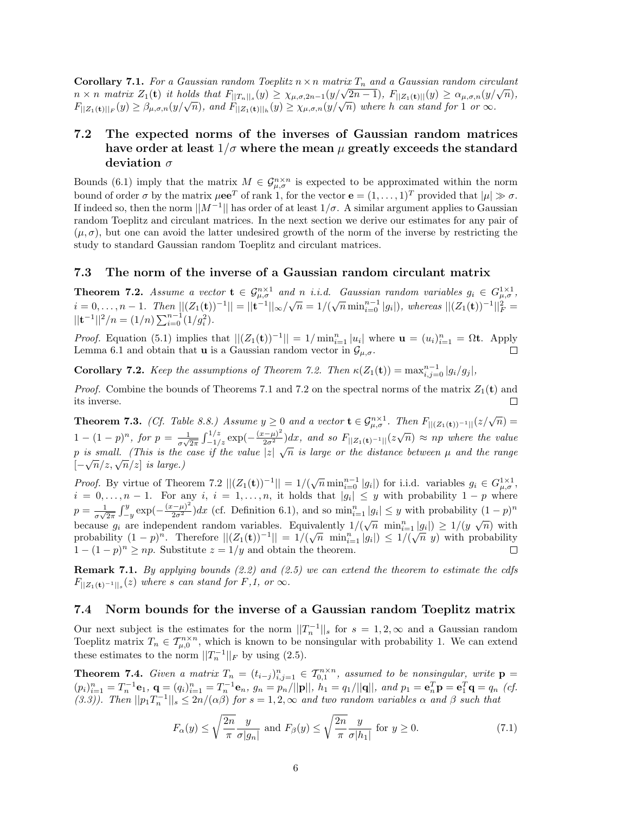Corollary 7.1. For a Gaussian random Toeplitz  $n \times n$  matrix  $T_n$  and a Gaussian random circulant **Coronary** *i.i.* For a Gaussian random Toeputz  $n \times n$  matrix  $I_n$  and a Gaussian random circulant  $n \times n$  matrix  $Z_1(\mathbf{t})$  it holds that  $F_{\vert\vert T_n\vert\vert_s}(y) \geq \chi_{\mu,\sigma,2n-1}(y/\sqrt{2n-1}), F_{\vert\vert Z_1(\mathbf{t})\vert\vert}(y) \geq \alpha_{\mu,\sigma,n}(y/\sqrt{n}),$  $F_{\lvert Z_1(t) \rvert \lvert F}(y) \geq \beta_{\mu,\sigma,n}(y/\sqrt{n}),$  and  $F_{\lvert |Z_1(t) \rvert \lvert h}(y) \geq \chi_{\mu,\sigma,n}(y/\sqrt{n})$  where h can stand for 1 or  $\infty$ .

### 7.2 The expected norms of the inverses of Gaussian random matrices have order at least  $1/\sigma$  where the mean  $\mu$  greatly exceeds the standard deviation  $\sigma$

Bounds (6.1) imply that the matrix  $M \in \mathcal{G}_{\mu,\sigma}^{n \times n}$  is expected to be approximated within the norm bound of order  $\sigma$  by the matrix  $\mu e^{T}$  of rank 1, for the vector  $e = (1, \ldots, 1)^{T}$  provided that  $|\mu| \gg \sigma$ . If indeed so, then the norm  $||M^{-1}||$  has order of at least  $1/\sigma$ . A similar argument applies to Gaussian random Toeplitz and circulant matrices. In the next section we derive our estimates for any pair of  $(\mu, \sigma)$ , but one can avoid the latter undesired growth of the norm of the inverse by restricting the study to standard Gaussian random Toeplitz and circulant matrices.

#### 7.3 The norm of the inverse of a Gaussian random circulant matrix

**Theorem 7.2.** Assume a vector  $\mathbf{t} \in \mathcal{G}_{\mu,\sigma}^{n\times 1}$  and n i.i.d. Gaussian random variables  $g_i \in G_{\mu,\sigma}^{1\times 1}$ , i = 0,...,n − 1. Then  $||(Z_1(t))^{-1}|| = ||t^{-1}||_{\infty}/\sqrt{n} = 1/(\sqrt{n} \min_{i=0}^{n-1} |g_i|)$ , whereas  $||(Z_1(t))^{-1}||_F^2 =$  $||{\bf t}^{-1}||^2/n = (1/n) \sum_{i=0}^{n-1} (1/g_i^2).$ 

*Proof.* Equation (5.1) implies that  $||(Z_1(\mathbf{t}))^{-1}|| = 1/\min_{i=1}^n |u_i|$  where  $\mathbf{u} = (u_i)_{i=1}^n = \Omega \mathbf{t}$ . Apply Lemma 6.1 and obtain that **u** is a Gaussian random vector in  $\mathcal{G}_{\mu,\sigma}$ .

**Corollary 7.2.** Keep the assumptions of Theorem 7.2. Then  $\kappa(Z_1(\mathbf{t})) = \max_{i,j=0}^{n-1} |g_i/g_j|$ ,

*Proof.* Combine the bounds of Theorems 7.1 and 7.2 on the spectral norms of the matrix  $Z_1(t)$  and its inverse.

**Theorem 7.3.** (Cf. Table 8.8.) Assume  $y \ge 0$  and a vector  $\mathbf{t} \in \mathcal{G}_{\mu,\sigma}^{n \times 1}$ . Then  $F_{||(Z_1(\mathbf{t}))^{-1}||}(z/\sqrt{n}) =$  $1-(1-p)^n$ , for  $p=\frac{1}{\sqrt{n}}$  $\frac{1}{\sigma\sqrt{2\pi}}\int_{-1/z}^{1/z} \exp\left(-\frac{(x-\mu)^2}{2\sigma^2}\right)dx$ , and so  $F_{\vert |Z_1(\mathbf{t})^{-1}|\vert}(z\sqrt{n}) \approx np$  where the value p is small. (This is the case if the value |z|  $\sqrt{n}$  is large or the distance between  $\mu$  and the range p is small. (This is the  $[-\sqrt{n}/z, \sqrt{n}/z]$  is large.)

*Proof.* By virtue of Theorem 7.2  $||(Z_1(\mathbf{t}))^{-1}|| = 1/(\sqrt{n} \min_{i=0}^{n-1} |g_i|)$  for i.i.d. variables  $g_i \in G_{\mu,\sigma}^{1\times1}$ ,  $i = 0, \ldots, n-1$ . For any  $i, i = 1, \ldots, n$ , it holds that  $|g_i| \leq y$  with probability  $1 - p$  where  $\frac{1}{\sigma\sqrt{2\pi}}\int_{-y}^{y} \exp\left(-\frac{(x-\mu)^2}{2\sigma^2}\right) dx$  (cf. Definition 6.1), and so  $\min_{i=1}^{n}|g_i| \leq y$  with probability  $(1-p)^n$  $p = \frac{1}{16}$  $\begin{pmatrix} |3i| & 9 \\ 0 & 1 \end{pmatrix}$   $\begin{pmatrix} 1 & 1 \\ 0 & 1 \end{pmatrix}$ because  $g_i$  are independent random variables. Equivalently  $1/(\sqrt{n} \min_{i=1}^n |g_i|) \ge 1/(y \sqrt{n})$  with probability  $(1-p)^n$ . Therefore  $||(Z_1(\mathbf{t}))^{-1}|| = 1/(\sqrt{n} \min_{i=1}^n |g_i|) \leq 1/(\sqrt{n} \ y)$  with probability  $1 - (1 - p)^n \ge np$ . Substitute  $z = 1/y$  and obtain the theorem. П

**Remark 7.1.** By applying bounds  $(2.2)$  and  $(2.5)$  we can extend the theorem to estimate the cdfs  $F_{\vert Z_1(\mathbf{t})^{-1}\vert\vert_s}(z)$  where s can stand for  $F,1$ , or  $\infty$ .

#### 7.4 Norm bounds for the inverse of a Gaussian random Toeplitz matrix

Our next subject is the estimates for the norm  $||T_n^{-1}||_s$  for  $s = 1, 2, \infty$  and a Gaussian random Toeplitz matrix  $T_n \in \mathcal{T}_{\mu,0}^{n \times n}$ , which is known to be nonsingular with probability 1. We can extend these estimates to the norm  $||T_n^{-1}||_F$  by using (2.5).

**Theorem 7.4.** Given a matrix  $T_n = (t_{i-j})_{i,j=1}^n \in T_{0,1}^{n \times n}$ , assumed to be nonsingular, write  $p =$  $(p_i)_{i=1}^n = T_n^{-1} \mathbf{e}_1, \ \mathbf{q} = (q_i)_{i=1}^n = T_n^{-1} \mathbf{e}_n, \ g_n = p_n / ||\mathbf{p}||, \ h_1 = q_1 / ||\mathbf{q}||, \ and \ p_1 = \mathbf{e}_n^T \mathbf{p} = \mathbf{e}_1^T \mathbf{q} = q_n \ (cf.$ (3.3)). Then  $||p_1T_n^{-1}||_s \leq 2n/(\alpha\beta)$  for  $s=1,2,\infty$  and two random variables  $\alpha$  and  $\beta$  such that

$$
F_{\alpha}(y) \le \sqrt{\frac{2n}{\pi}} \frac{y}{\sigma|g_n|} \text{ and } F_{\beta}(y) \le \sqrt{\frac{2n}{\pi}} \frac{y}{\sigma|h_1|} \text{ for } y \ge 0. \tag{7.1}
$$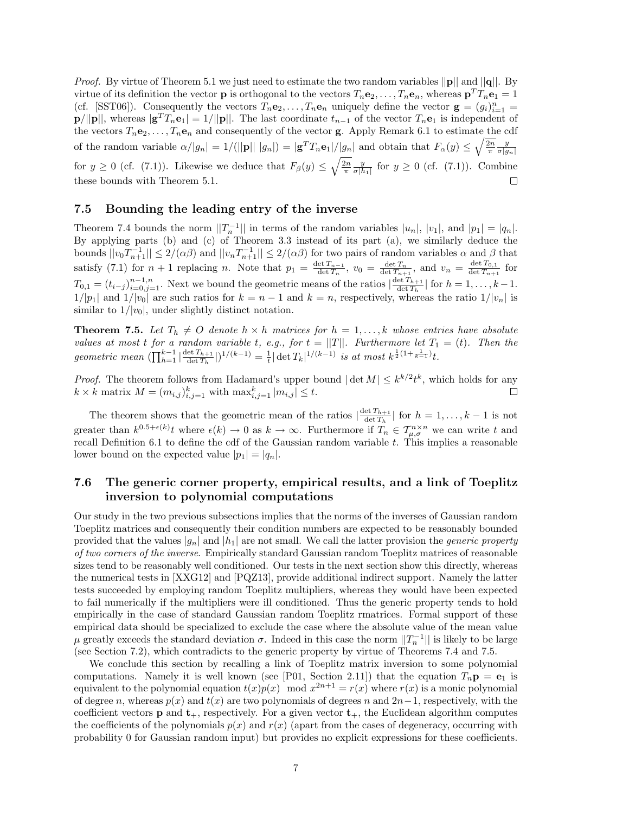*Proof.* By virtue of Theorem 5.1 we just need to estimate the two random variables  $||\mathbf{p}||$  and  $||\mathbf{q}||$ . By virtue of its definition the vector **p** is orthogonal to the vectors  $T_n \mathbf{e}_2, \ldots, T_n \mathbf{e}_n$ , whereas  $\mathbf{p}^T T_n \mathbf{e}_1 = 1$ (cf. [SST06]). Consequently the vectors  $T_n \mathbf{e}_2, \ldots, T_n \mathbf{e}_n$  uniquely define the vector  $\mathbf{g} = (g_i)_{i=1}^n =$  $\mathbf{p}/||\mathbf{p}||$ , whereas  $|\mathbf{g}^T T_n \mathbf{e}_1| = 1/||\mathbf{p}||$ . The last coordinate  $t_{n-1}$  of the vector  $T_n \mathbf{e}_1$  is independent of the vectors  $T_n e_2, \ldots, T_n e_n$  and consequently of the vector **g**. Apply Remark 6.1 to estimate the cdf of the random variable  $\alpha/|g_n| = 1/(||\mathbf{p}|| |g_n|) = |\mathbf{g}^T T_n \mathbf{e}_1|/|g_n|$  and obtain that  $F_\alpha(y) \le \sqrt{\frac{2n}{\pi}} \frac{y}{\sigma |g_n|}$ for  $y \ge 0$  (cf. (7.1)). Likewise we deduce that  $F_\beta(y) \le \sqrt{\frac{2n}{\pi}} \frac{y}{\sigma |h_1|}$  for  $y \ge 0$  (cf. (7.1)). Combine these bounds with Theorem 5.1.  $\Box$ 

#### 7.5 Bounding the leading entry of the inverse

Theorem 7.4 bounds the norm  $||T_n^{-1}||$  in terms of the random variables  $|u_n|, |v_1|$ , and  $|p_1| = |q_n|$ . By applying parts (b) and (c) of Theorem 3.3 instead of its part (a), we similarly deduce the bounds  $||v_0T_{n+1}^{-1}|| \leq 2/(\alpha\beta)$  and  $||v_nT_{n+1}^{-1}|| \leq 2/(\alpha\beta)$  for two pairs of random variables  $\alpha$  and  $\beta$  that satisfy (7.1) for  $n + 1$  replacing n. Note that  $p_1 = \frac{\det T_{n-1}}{\det T_n}$  $\frac{\det T_{n-1}}{\det T_n}$ ,  $v_0 = \frac{\det T_n}{\det T_{n+1}}$ , and  $v_n = \frac{\det T_{0,1}}{\det T_{n+1}}$  $\frac{\det I_{0,1}}{\det T_{n+1}}$  for  $T_{0,1} = (t_{i-j})_{i=0,j=1}^{n-1,n}$ . Next we bound the geometric means of the ratios  $\left|\frac{\det T_{h+1}}{\det T_h}\right|$  $\frac{\det I_{h+1}}{\det T_h}$  for  $h = 1, \ldots, k-1$ .  $1/|p_1|$  and  $1/|v_0|$  are such ratios for  $k = n - 1$  and  $k = n$ , respectively, whereas the ratio  $1/|v_n|$  is similar to  $1/|v_0|$ , under slightly distinct notation.

**Theorem 7.5.** Let  $T_h \neq 0$  denote  $h \times h$  matrices for  $h = 1, \ldots, k$  whose entries have absolute values at most t for a random variable t, e.g., for  $t = ||T||$ . Furthermore let  $T_1 = (t)$ . Then the geometric mean  $(\prod_{h=1}^{k-1}|\frac{\det T_{h+1}}{\det T_h})$  $\frac{\det T_{h+1}}{\det T_h}|)^{1/(k-1)} = \frac{1}{t} |\det T_k|^{1/(k-1)}$  is at most  $k^{\frac{1}{2}(1+\frac{1}{k-1})}t$ .

*Proof.* The theorem follows from Hadamard's upper bound  $|\det M| \leq k^{k/2} t^k$ , which holds for any  $k \times k$  matrix  $M = (m_{i,j})_{i,j=1}^k$  with  $\max_{i,j=1}^k |m_{i,j}| \leq t$ .  $\Box$ 

The theorem shows that the geometric mean of the ratios  $\frac{\det T_{h+1}}{\det T}$  $\frac{\det T_{h+1}}{\det T_h}$  for  $h = 1, \ldots, k-1$  is not greater than  $k^{0.5+\epsilon(k)}$  where  $\epsilon(k) \to 0$  as  $k \to \infty$ . Furthermore if  $T_n \in \mathcal{T}_{\mu,\sigma}^{n \times n}$  we can write t and recall Definition 6.1 to define the cdf of the Gaussian random variable  $t$ . This implies a reasonable lower bound on the expected value  $|p_1| = |q_n|$ .

### 7.6 The generic corner property, empirical results, and a link of Toeplitz inversion to polynomial computations

Our study in the two previous subsections implies that the norms of the inverses of Gaussian random Toeplitz matrices and consequently their condition numbers are expected to be reasonably bounded provided that the values  $|g_n|$  and  $|h_1|$  are not small. We call the latter provision the *generic property* of two corners of the inverse. Empirically standard Gaussian random Toeplitz matrices of reasonable sizes tend to be reasonably well conditioned. Our tests in the next section show this directly, whereas the numerical tests in [XXG12] and [PQZ13], provide additional indirect support. Namely the latter tests succeeded by employing random Toeplitz multipliers, whereas they would have been expected to fail numerically if the multipliers were ill conditioned. Thus the generic property tends to hold empirically in the case of standard Gaussian random Toeplitz rmatrices. Formal support of these empirical data should be specialized to exclude the case where the absolute value of the mean value  $\mu$  greatly exceeds the standard deviation  $\sigma$ . Indeed in this case the norm  $||T_n^{-1}||$  is likely to be large (see Section 7.2), which contradicts to the generic property by virtue of Theorems 7.4 and 7.5.

We conclude this section by recalling a link of Toeplitz matrix inversion to some polynomial computations. Namely it is well known (see [P01, Section 2.11]) that the equation  $T_n \mathbf{p} = \mathbf{e}_1$  is equivalent to the polynomial equation  $t(x)p(x) \mod x^{2n+1} = r(x)$  where  $r(x)$  is a monic polynomial of degree n, whereas  $p(x)$  and  $t(x)$  are two polynomials of degrees n and  $2n-1$ , respectively, with the coefficient vectors **p** and  $t_{+}$ , respectively. For a given vector  $t_{+}$ , the Euclidean algorithm computes the coefficients of the polynomials  $p(x)$  and  $r(x)$  (apart from the cases of degeneracy, occurring with probability 0 for Gaussian random input) but provides no explicit expressions for these coefficients.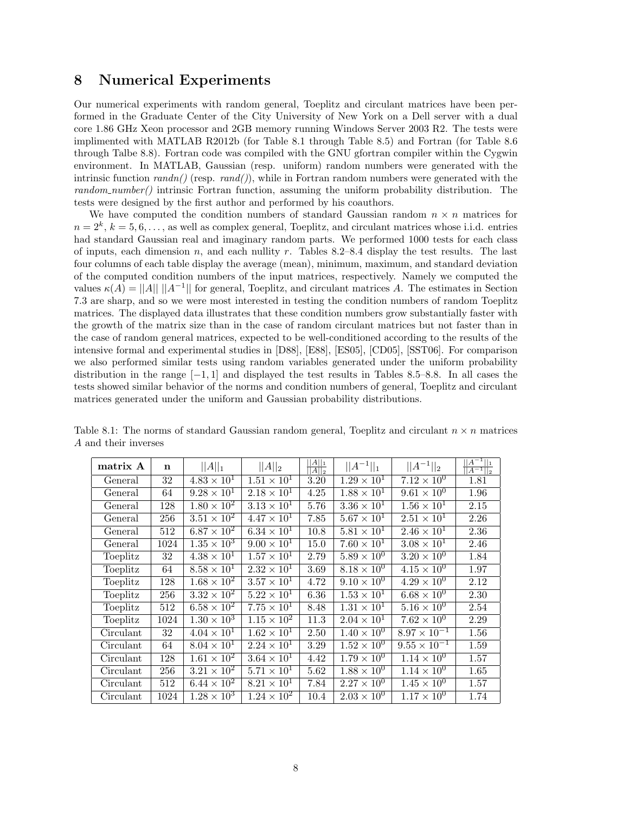### 8 Numerical Experiments

Our numerical experiments with random general, Toeplitz and circulant matrices have been performed in the Graduate Center of the City University of New York on a Dell server with a dual core 1.86 GHz Xeon processor and 2GB memory running Windows Server 2003 R2. The tests were implimented with MATLAB R2012b (for Table 8.1 through Table 8.5) and Fortran (for Table 8.6 through Talbe 8.8). Fortran code was compiled with the GNU gfortran compiler within the Cygwin environment. In MATLAB, Gaussian (resp. uniform) random numbers were generated with the intrinsic function  $randn()$  (resp.  $rand()$ ), while in Fortran random numbers were generated with the  $random_number()$  intrinsic Fortran function, assuming the uniform probability distribution. The tests were designed by the first author and performed by his coauthors.

We have computed the condition numbers of standard Gaussian random  $n \times n$  matrices for  $n = 2<sup>k</sup>$ ,  $k = 5, 6, \ldots$ , as well as complex general, Toeplitz, and circulant matrices whose i.i.d. entries had standard Gaussian real and imaginary random parts. We performed 1000 tests for each class of inputs, each dimension n, and each nullity r. Tables 8.2–8.4 display the test results. The last four columns of each table display the average (mean), minimum, maximum, and standard deviation of the computed condition numbers of the input matrices, respectively. Namely we computed the values  $\kappa(A) = ||A|| \, ||A^{-1}||$  for general, Toeplitz, and circulant matrices A. The estimates in Section 7.3 are sharp, and so we were most interested in testing the condition numbers of random Toeplitz matrices. The displayed data illustrates that these condition numbers grow substantially faster with the growth of the matrix size than in the case of random circulant matrices but not faster than in the case of random general matrices, expected to be well-conditioned according to the results of the intensive formal and experimental studies in [D88], [E88], [ES05], [CD05], [SST06]. For comparison we also performed similar tests using random variables generated under the uniform probability distribution in the range  $[-1, 1]$  and displayed the test results in Tables 8.5–8.8. In all cases the tests showed similar behavior of the norms and condition numbers of general, Toeplitz and circulant matrices generated under the uniform and Gaussian probability distributions.

| matrix A  | n    | $  A  _1$            | $  A  _2$            | $  A  _1$<br>$  A  _2$ | $  A^{-1}  _1$       | $  A^{-1}  _2$        | $\overline{ A^{-1}  _1}$<br>$\overline{ A^{-1}  _2}$ |
|-----------|------|----------------------|----------------------|------------------------|----------------------|-----------------------|------------------------------------------------------|
| General   | 32   | $4.83 \times 10^{1}$ | $1.51 \times 10^{1}$ | 3.20                   | $1.29 \times 10^{1}$ | $7.12 \times 10^{0}$  | 1.81                                                 |
| General   | 64   | $9.28 \times 10^{1}$ | $2.18 \times 10^{1}$ | 4.25                   | $1.88 \times 10^{1}$ | $9.61 \times 10^{0}$  | 1.96                                                 |
| General   | 128  | $1.80 \times 10^{2}$ | $3.13 \times 10^{1}$ | 5.76                   | $3.36 \times 10^{1}$ | $1.56 \times 10^{1}$  | 2.15                                                 |
| General   | 256  | $3.51 \times 10^{2}$ | $4.47 \times 10^{1}$ | 7.85                   | $5.67 \times 10^{1}$ | $2.51 \times 10^{1}$  | 2.26                                                 |
| General   | 512  | $6.87 \times 10^{2}$ | $6.34 \times 10^{1}$ | 10.8                   | $5.81 \times 10^{1}$ | $2.46 \times 10^{1}$  | 2.36                                                 |
| General   | 1024 | $1.35 \times 10^3$   | $9.00 \times 10^{1}$ | 15.0                   | $7.60 \times 10^{1}$ | $3.08 \times 10^{1}$  | 2.46                                                 |
| Toeplitz  | 32   | $4.38 \times 10^{1}$ | $1.57 \times 10^{1}$ | 2.79                   | $5.89 \times 10^{0}$ | $3.20 \times 10^{0}$  | 1.84                                                 |
| Toeplitz  | 64   | $8.58 \times 10^{1}$ | $2.32 \times 10^{1}$ | 3.69                   | $8.18 \times 10^{0}$ | $4.15 \times 10^{0}$  | 1.97                                                 |
| Toeplitz  | 128  | $1.68 \times 10^{2}$ | $3.57 \times 10^1$   | 4.72                   | $9.10 \times 10^{0}$ | $4.29 \times 10^{0}$  | 2.12                                                 |
| Toeplitz  | 256  | $3.32 \times 10^{2}$ | $5.22 \times 10^{1}$ | 6.36                   | $1.53 \times 10^{1}$ | $6.68 \times 10^{0}$  | 2.30                                                 |
| Toeplitz  | 512  | $6.58 \times 10^{2}$ | $7.75 \times 10^{1}$ | 8.48                   | $1.31 \times 10^{1}$ | $5.16 \times 10^{0}$  | 2.54                                                 |
| Toeplitz  | 1024 | $1.30 \times 10^{3}$ | $1.15 \times 10^{2}$ | 11.3                   | $2.04 \times 10^{1}$ | $7.62 \times 10^{0}$  | 2.29                                                 |
| Circulant | 32   | $4.04 \times 10^{1}$ | $1.62 \times 10^{1}$ | 2.50                   | $1.40 \times 10^{0}$ | $8.97 \times 10^{-1}$ | 1.56                                                 |
| Circulant | 64   | $8.04 \times 10^{1}$ | $2.24 \times 10^{1}$ | 3.29                   | $1.52 \times 10^{0}$ | $9.55 \times 10^{-1}$ | 1.59                                                 |
| Circulant | 128  | $1.61 \times 10^{2}$ | $3.64 \times 10^1$   | 4.42                   | $1.79 \times 10^{0}$ | $1.14 \times 10^{0}$  | 1.57                                                 |
| Circulant | 256  | $3.21 \times 10^{2}$ | $5.71 \times 10^{1}$ | 5.62                   | $1.88 \times 10^{0}$ | $1.14 \times 10^{0}$  | 1.65                                                 |
| Circulant | 512  | $6.44 \times 10^{2}$ | $8.21 \times 10^{1}$ | 7.84                   | $2.27 \times 10^{0}$ | $1.45 \times 10^{0}$  | 1.57                                                 |
| Circulant | 1024 | $1.28 \times 10^{3}$ | $1.24 \times 10^{2}$ | 10.4                   | $2.03 \times 10^{0}$ | $1.17 \times 10^{0}$  | 1.74                                                 |

Table 8.1: The norms of standard Gaussian random general, Toeplitz and circulant  $n \times n$  matrices A and their inverses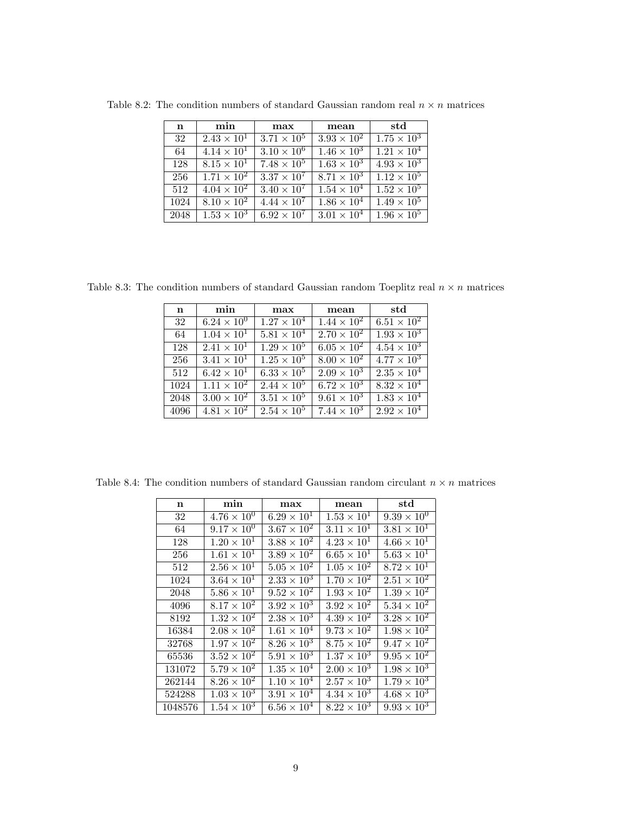| $\mathbf n$ | min                  | max                  | mean                          | std                  |
|-------------|----------------------|----------------------|-------------------------------|----------------------|
| 32          | $2.43 \times 10^{1}$ | $3.71 \times 10^5$   | $3.93 \times 10^{2}$          | $1.75 \times 10^3$   |
| 64          | $4.14 \times 10^{1}$ | $3.10 \times 10^{6}$ | $1.46 \times 10^{3}$          | $1.21 \times 10^{4}$ |
| 128         | $8.15 \times 10^{1}$ | $7.48 \times 10^{5}$ | $1.63 \times 10^{3}$          | $4.93 \times 10^3$   |
| 256         | $1.71 \times 10^{2}$ | $3.37 \times 10^{7}$ | $8.71 \times 10^3$            | $1.12 \times 10^5$   |
| 512         | $4.04 \times 10^{2}$ | $3.40 \times 10^{7}$ | $1.54 \times 10^4$            | $1.52 \times 10^5$   |
| 1024        | $8.10 \times 10^{2}$ | $4.44 \times 10^{7}$ | $1.86 \times 10^4$            | $1.49 \times 10^5$   |
| 2048        | $1.53 \times 10^3$   | $6.92 \times 10^{7}$ | $\overline{3.01 \times 10^4}$ | $1.96 \times 10^5$   |

Table 8.2: The condition numbers of standard Gaussian random real  $n \times n$  matrices

Table 8.3: The condition numbers of standard Gaussian random Toeplitz real  $n \times n$  matrices

| $\mathbf n$ | min                  | max                       | mean                        | $_{\rm std}$         |
|-------------|----------------------|---------------------------|-----------------------------|----------------------|
| 32          | $6.24 \times 10^{0}$ | $1.27 \times 10^4$        | $1.44 \times 10^{2}$        | $6.51 \times 10^{2}$ |
| 64          | $1.04 \times 10^{1}$ | $5.81 \times 10^{4}$      | $\sqrt{2.70 \times 10^{2}}$ | $1.93 \times 10^{3}$ |
| 128         | $2.41 \times 10^{1}$ | $\sqrt{1.29 \times 10^5}$ | $6.05 \times 10^{2}$        | $4.54 \times 10^3$   |
| 256         | $3.41 \times 10^{1}$ | $1.25 \times 10^5$        | $8.00 \times 10^{2}$        | $4.77 \times 10^3$   |
| 512         | $6.42 \times 10^{1}$ | $6.33 \times 10^{5}$      | $\sqrt{2.09 \times 10^3}$   | $2.35 \times 10^{4}$ |
| 1024        | $1.11 \times 10^{2}$ | $2.44 \times 10^5$        | $6.72 \times 10^{3}$        | $8.32 \times 10^{4}$ |
| 2048        | $3.00 \times 10^{2}$ | $3.51 \times 10^{5}$      | $9.61 \times 10^{3}$        | $1.83 \times 10^{4}$ |
| 4096        | $4.81 \times 10^2$   | $2.54 \times 10^{5}$      | $7.44 \times 10^{3}$        | $2.92 \times 10^{4}$ |

Table 8.4: The condition numbers of standard Gaussian random circulant  $n \times n$  matrices

| n       | min                           | max                  | mean                 | std                           |
|---------|-------------------------------|----------------------|----------------------|-------------------------------|
| 32      | $4.76 \times 10^{0}$          | $6.29 \times 10^{1}$ | $1.53 \times 10^{1}$ | $9.39 \times 10^{0}$          |
| 64      | $9.17 \times 10^{0}$          | $3.67 \times 10^{2}$ | $3.11 \times 10^{1}$ | $3.81 \times 10^{1}$          |
| 128     | $1.20 \times 10^{1}$          | $3.88 \times 10^2$   | $4.23 \times 10^{1}$ | $4.66 \times 10^{1}$          |
| 256     | $1.61 \times 10^{1}$          | $3.89 \times 10^2$   | $6.65 \times 10^{1}$ | $5.63 \times 10^{1}$          |
| 512     | $2.56 \times \overline{10^1}$ | $5.05 \times 10^2$   | $1.05 \times 10^{2}$ | $8.72 \times 10^{1}$          |
| 1024    | $3.64 \times 10^{1}$          | $2.33\times10^3$     | $1.70 \times 10^{2}$ | $2.51 \times 10^2$            |
| 2048    | $5.86 \times 10^{1}$          | $9.52 \times 10^2$   | $1.93 \times 10^2$   | $1.39 \times 10^2$            |
| 4096    | $8.17 \times 10^2$            | $3.92 \times 10^{3}$ | $3.92 \times 10^{2}$ | $5.34 \times 10^2$            |
| 8192    | $1.32 \times 10^2$            | $2.38 \times 10^{3}$ | $4.39 \times 10^2$   | $3.28 \times 10^2$            |
| 16384   | $2.08 \times 10^2$            | $1.61 \times 10^{4}$ | $9.73 \times 10^{2}$ | $1.98 \times 10^{2}$          |
| 32768   | $1.97 \times 10^2$            | $8.26 \times 10^3$   | $8.75 \times 10^2$   | $9.47 \times 10^{2}$          |
| 65536   | $3.52 \times 10^2$            | $5.91 \times 10^3$   | $1.37 \times 10^3$   | $9.95 \times \overline{10^2}$ |
| 131072  | $5.79 \times 10^{2}$          | $1.35 \times 10^4$   | $2.00 \times 10^3$   | $1.98 \times \overline{10^3}$ |
| 262144  | $8.26 \times 10^{2}$          | $1.10 \times 10^{4}$ | $2.57 \times 10^3$   | $1.79 \times 10^{3}$          |
| 524288  | $1.03 \times 10^{3}$          | $3.91 \times 10^{4}$ | $4.34 \times 10^{3}$ | $4.68 \times 10^3$            |
| 1048576 | $1.54 \times 10^{3}$          | $6.56 \times 10^4$   | $8.22 \times 10^3$   | $9.93 \times 10^{3}$          |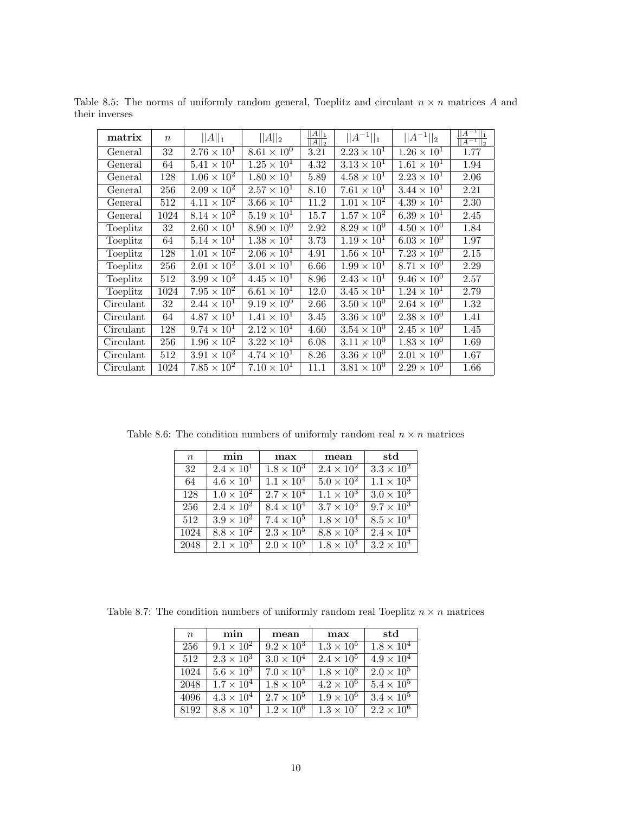| matrix    | $\boldsymbol{n}$ | $  A  _1$            | $  A  _2$                   | $\frac{  A  _1}{  A  _2}$ | $  A^{-1}  _1$       | $  A^{-1}  _2$       | $  A^{-1}  _1$<br>$\sqrt{ A^{-1}  _2}$ |
|-----------|------------------|----------------------|-----------------------------|---------------------------|----------------------|----------------------|----------------------------------------|
| General   | 32               | $2.76 \times 10^{1}$ | $8.\overline{61\times10^0}$ | 3.21                      | $2.23 \times 10^{1}$ | $1.26 \times 10^{1}$ | 1.77                                   |
| General   | 64               | $5.41 \times 10^{1}$ | $1.25 \times 10^{1}$        | 4.32                      | $3.13 \times 10^1$   | $1.61 \times 10^{1}$ | 1.94                                   |
| General   | 128              | $1.06 \times 10^{2}$ | $1.80 \times 10^{1}$        | 5.89                      | $4.58 \times 10^{1}$ | $2.23 \times 10^{1}$ | 2.06                                   |
| General   | 256              | $2.09 \times 10^{2}$ | $2.57 \times 10^{1}$        | 8.10                      | $7.61 \times 10^{1}$ | $3.44 \times 10^{1}$ | 2.21                                   |
| General   | 512              | $4.11 \times 10^{2}$ | $3.66 \times 10^{1}$        | 11.2                      | $1.01 \times 10^{2}$ | $4.39 \times 10^{1}$ | 2.30                                   |
| General   | 1024             | $8.14 \times 10^{2}$ | $5.19 \times 10^{1}$        | 15.7                      | $1.57 \times 10^{2}$ | $6.39 \times 10^{1}$ | 2.45                                   |
| Toeplitz  | 32               | $2.60 \times 10^{1}$ | $8.90 \times 10^{0}$        | 2.92                      | $8.29 \times 10^{0}$ | $4.50 \times 10^{0}$ | 1.84                                   |
| Toeplitz  | 64               | $5.14 \times 10^{1}$ | $1.38 \times 10^{1}$        | 3.73                      | $1.19 \times 10^{1}$ | $6.03 \times 10^{0}$ | 1.97                                   |
| Toeplitz  | 128              | $1.01 \times 10^{2}$ | $2.06 \times 10^{1}$        | 4.91                      | $1.56 \times 10^{1}$ | $7.23 \times 10^{0}$ | 2.15                                   |
| Toeplitz  | 256              | $2.01 \times 10^{2}$ | $3.01 \times 10^{1}$        | 6.66                      | $1.99 \times 10^{1}$ | $8.71 \times 10^{0}$ | 2.29                                   |
| Toeplitz  | 512              | $3.99 \times 10^{2}$ | $4.45 \times 10^{1}$        | 8.96                      | $2.43 \times 10^{1}$ | $9.46 \times 10^{0}$ | 2.57                                   |
| Toeplitz  | 1024             | $7.95 \times 10^{2}$ | $6.61 \times 10^{1}$        | 12.0                      | $3.45 \times 10^{1}$ | $1.24 \times 10^1$   | 2.79                                   |
| Circulant | 32               | $2.44 \times 10^{1}$ | $9.19 \times 10^{0}$        | 2.66                      | $3.50 \times 10^{0}$ | $2.64 \times 10^{0}$ | 1.32                                   |
| Circulant | 64               | $4.87 \times 10^{1}$ | $1.41 \times 10^{1}$        | 3.45                      | $3.36 \times 10^{0}$ | $2.38 \times 10^{0}$ | 1.41                                   |
| Circulant | 128              | $9.74 \times 10^{1}$ | $2.12 \times 10^{1}$        | 4.60                      | $3.54 \times 10^{0}$ | $2.45 \times 10^{0}$ | 1.45                                   |
| Circulant | 256              | $1.96 \times 10^2$   | $3.22 \times 10^{1}$        | 6.08                      | $3.11 \times 10^{0}$ | $1.83 \times 10^{0}$ | 1.69                                   |
| Circulant | 512              | $3.91 \times 10^{2}$ | $4.74 \times 10^{1}$        | 8.26                      | $3.36 \times 10^{0}$ | $2.01 \times 10^{0}$ | 1.67                                   |
| Circulant | 1024             | $7.85 \times 10^{2}$ | $7.10 \times 10^{1}$        | 11.1                      | $3.81 \times 10^{0}$ | $2.29 \times 10^{0}$ | 1.66                                   |

Table 8.5: The norms of uniformly random general, Toeplitz and circulant  $n \times n$  matrices A and their inverses

Table 8.6: The condition numbers of uniformly random real  $n \times n$  matrices

| $\boldsymbol{n}$ | min                 | max                 | mean                | std                 |
|------------------|---------------------|---------------------|---------------------|---------------------|
| 32               | $2.4 \times 10^{1}$ | $1.8 \times 10^3$   | $2.4 \times 10^2$   | $3.3 \times 10^2$   |
| 64               | $4.6 \times 10^{1}$ | $1.1 \times 10^{4}$ | $5.0 \times 10^{2}$ | $1.1 \times 10^{3}$ |
| 128              | $1.0 \times 10^{2}$ | $2.7 \times 10^{4}$ | $1.1 \times 10^{3}$ | $3.0 \times 10^{3}$ |
| 256              | $2.4 \times 10^{2}$ | $8.4 \times 10^{4}$ | $3.7 \times 10^3$   | $9.7 \times 10^3$   |
| 512              | $3.9 \times 10^2$   | $7.4 \times 10^5$   | $1.8 \times 10^{4}$ | $8.5 \times 10^4$   |
| 1024             | $8.8 \times 10^2$   | $2.3 \times 10^{5}$ | $8.8 \times 10^3$   | $2.4 \times 10^{4}$ |
| 2048             | $2.1 \times 10^3$   | $2.0 \times 10^5$   | $1.8 \times 10^{4}$ | $3.2 \times 10^4$   |

Table 8.7: The condition numbers of uniformly random real Toeplitz  $n \times n$  matrices

| $\boldsymbol{n}$ | min                 | mean                | max                 | std                 |
|------------------|---------------------|---------------------|---------------------|---------------------|
| 256              | $9.1 \times 10^{2}$ | $9.2 \times 10^3$   | $1.3 \times 10^5$   | $1.8 \times 10^4$   |
| 512              | $2.3 \times 10^3$   | $3.0 \times 10^4$   | $2.4 \times 10^5$   | $4.9 \times 10^{4}$ |
| 1024             | $5.6 \times 10^3$   | $7.0 \times 10^{4}$ | $1.8 \times 10^{6}$ | $2.0 \times 10^{5}$ |
| 2048             | $1.7 \times 10^{4}$ | $1.8 \times 10^{5}$ | $4.2 \times 10^{6}$ | $5.4 \times 10^{5}$ |
| 4096             | $4.3 \times 10^{4}$ | $2.7 \times 10^5$   | $1.9 \times 10^{6}$ | $3.4 \times 10^5$   |
| 8192             | $8.8 \times 10^4$   | $1.2 \times 10^6$   | $1.3 \times 10^7$   | $2.2 \times 10^6$   |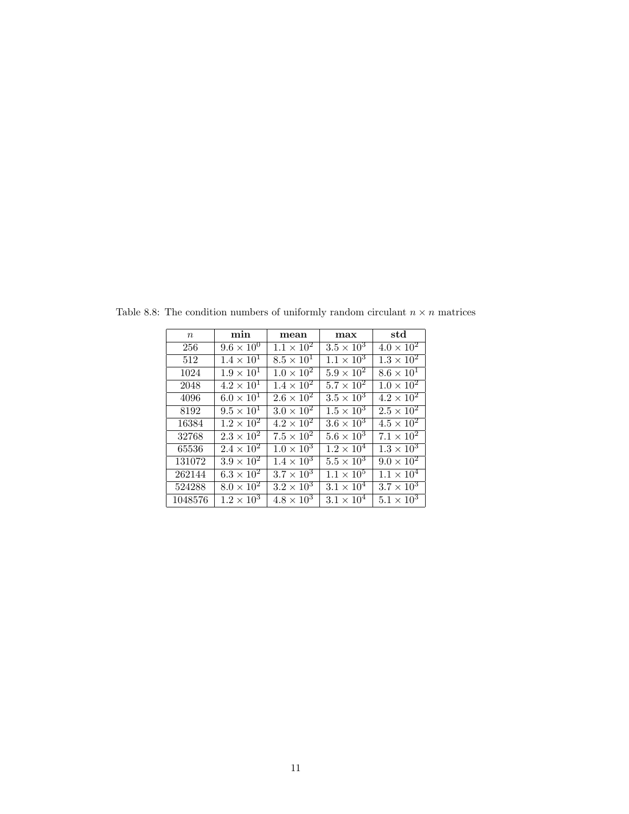| $\boldsymbol{n}$ | min                 | $_{\rm mean}$       | max                 | std                        |
|------------------|---------------------|---------------------|---------------------|----------------------------|
| 256              | $9.6 \times 10^{0}$ | $1.1 \times 10^{2}$ | $3.5 \times 10^3$   | $4.0 \times 10^{2}$        |
| 512              | $1.4 \times 10^{1}$ | $8.5 \times 10^{1}$ | $1.1 \times 10^{3}$ | $1.3 \times 10^2$          |
| 1024             | $1.9 \times 10^{1}$ | $1.0 \times 10^2$   | $5.9 \times 10^2$   | $8.\overline{6\times10^1}$ |
| 2048             | $4.2 \times 10^{1}$ | $1.4 \times 10^{2}$ | $5.7 \times 10^2$   | $1.0 \times 10^2$          |
| 4096             | $6.0 \times 10^{1}$ | $2.6 \times 10^{2}$ | $3.5 \times 10^{3}$ | $4.2 \times 10^{2}$        |
| 8192             | $9.5 \times 10^{1}$ | $3.0 \times 10^{2}$ | $1.5 \times 10^3$   | $2.5 \times 10^2$          |
| 16384            | $1.2 \times 10^2$   | $4.2 \times 10^{2}$ | $3.6 \times 10^3$   | $4.5 \times 10^{2}$        |
| 32768            | $2.3 \times 10^2$   | $7.5 \times 10^{2}$ | $5.6 \times 10^3$   | $7.1 \times 10^2$          |
| 65536            | $2.4 \times 10^{2}$ | $1.0 \times 10^{3}$ | $1.2 \times 10^4$   | $1.3 \times 10^3$          |
| 131072           | $3.9 \times 10^2$   | $1.4 \times 10^{3}$ | $5.5 \times 10^3$   | $9.0 \times 10^2$          |
| 262144           | $6.3 \times 10^{2}$ | $3.7 \times 10^3$   | $1.1 \times 10^{5}$ | $1.1 \times 10^{4}$        |
| 524288           | $8.0 \times 10^{2}$ | $3.2 \times 10^3$   | $3.1 \times 10^{4}$ | $3.7 \times 10^3$          |
| 1048576          | $1.2 \times 10^{3}$ | $4.8 \times 10^3$   | $3.1 \times 10^{4}$ | $5.1 \times 10^3$          |

Table 8.8: The condition numbers of uniformly random circulant  $n\times n$  matrices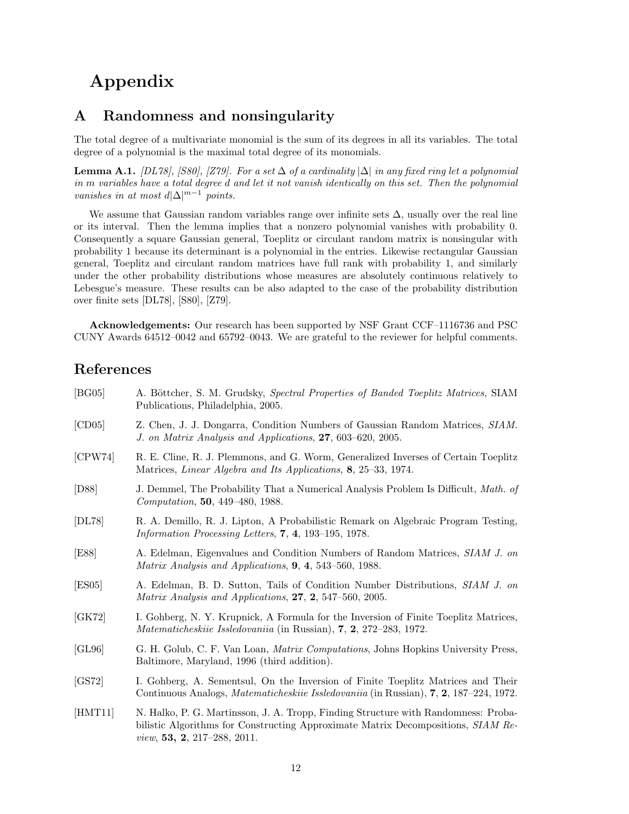# Appendix

## A Randomness and nonsingularity

The total degree of a multivariate monomial is the sum of its degrees in all its variables. The total degree of a polynomial is the maximal total degree of its monomials.

**Lemma A.1.** [DL78], [S80], [Z79]. For a set  $\Delta$  of a cardinality  $|\Delta|$  in any fixed ring let a polynomial in m variables have a total degree d and let it not vanish identically on this set. Then the polynomial vanishes in at most  $d|\Delta|^{m-1}$  points.

We assume that Gaussian random variables range over infinite sets  $\Delta$ , usually over the real line or its interval. Then the lemma implies that a nonzero polynomial vanishes with probability 0. Consequently a square Gaussian general, Toeplitz or circulant random matrix is nonsingular with probability 1 because its determinant is a polynomial in the entries. Likewise rectangular Gaussian general, Toeplitz and circulant random matrices have full rank with probability 1, and similarly under the other probability distributions whose measures are absolutely continuous relatively to Lebesgue's measure. These results can be also adapted to the case of the probability distribution over finite sets [DL78], [S80], [Z79].

Acknowledgements: Our research has been supported by NSF Grant CCF–1116736 and PSC CUNY Awards 64512–0042 and 65792–0043. We are grateful to the reviewer for helpful comments.

# References

| [BG05]  | A. Böttcher, S. M. Grudsky, Spectral Properties of Banded Toeplitz Matrices, SIAM<br>Publications, Philadelphia, 2005.                                                                                                |
|---------|-----------------------------------------------------------------------------------------------------------------------------------------------------------------------------------------------------------------------|
| [CD05]  | Z. Chen, J. J. Dongarra, Condition Numbers of Gaussian Random Matrices, SIAM.<br>J. on Matrix Analysis and Applications, 27, 603-620, 2005.                                                                           |
| [CPW74] | R. E. Cline, R. J. Plemmons, and G. Worm, Generalized Inverses of Certain Toeplitz<br>Matrices, Linear Algebra and Its Applications, 8, 25–33, 1974.                                                                  |
| [D88]   | J. Demmel, The Probability That a Numerical Analysis Problem Is Difficult, <i>Math. of</i><br><i>Computation</i> , <b>50</b> , 449–480, 1988.                                                                         |
| [DL78]  | R. A. Demillo, R. J. Lipton, A Probabilistic Remark on Algebraic Program Testing,<br><i>Information Processing Letters,</i> 7, 4, 193–195, 1978.                                                                      |
| [E88]   | A. Edelman, Eigenvalues and Condition Numbers of Random Matrices, SIAM J. on<br>Matrix Analysis and Applications, $9, 4, 543$ –560, 1988.                                                                             |
| [ES05]  | A. Edelman, B. D. Sutton, Tails of Condition Number Distributions, SIAM J. on<br>Matrix Analysis and Applications, 27, 2, 547-560, 2005.                                                                              |
| [GK72]  | I. Gohberg, N. Y. Krupnick, A Formula for the Inversion of Finite Toeplitz Matrices,<br><i>Matematicheskiie Issledovaniia</i> (in Russian), $7, 2, 272-283, 1972$ .                                                   |
| [GL96]  | G. H. Golub, C. F. Van Loan, Matrix Computations, Johns Hopkins University Press,<br>Baltimore, Maryland, 1996 (third addition).                                                                                      |
| [GS72]  | I. Gohberg, A. Sementsul, On the Inversion of Finite Toeplitz Matrices and Their<br>Continuous Analogs, <i>Matematicheskiie Issledovaniia</i> (in Russian), <b>7, 2</b> , 187–224, 1972.                              |
| [HMT11] | N. Halko, P. G. Martinsson, J. A. Tropp, Finding Structure with Randomness: Proba-<br>bilistic Algorithms for Constructing Approximate Matrix Decompositions, SIAM Re-<br><i>view</i> , <b>53, 2</b> , 217–288, 2011. |